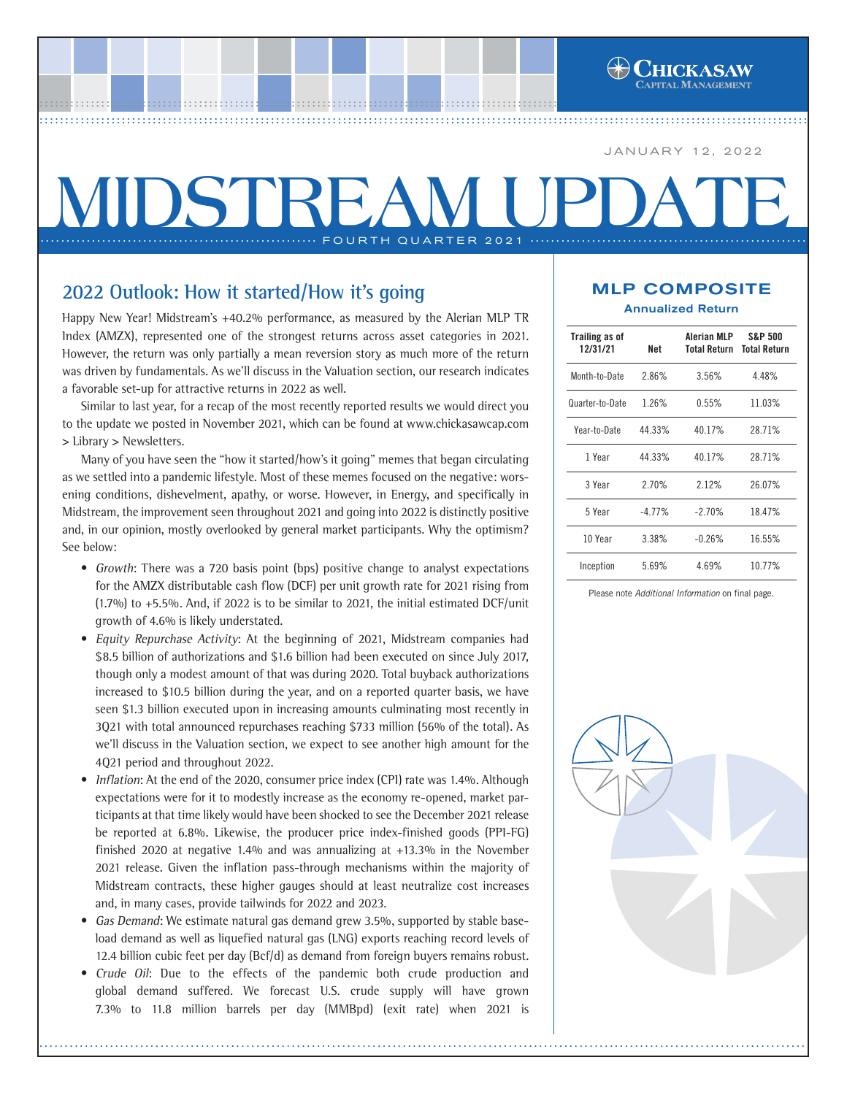JANUARY 12, 2022

# **MIDSTREAM UPI** ............ FOURTH QUARTER 2021 ..

................................................................................................ ..... ................................................................................................ ..... ................................................................................................ ....[..................................................](http://www.chickasawcap.com) ................................................................................................ ......................................................

# **2022 Outlook: How it started/How it's going**

Happy New Year! Midstream's +40.2% performance, as measured by the Alerian MLP TR Index (AMZX), represented one of the strongest returns across asset categories in 2021. However, the return was only partially a mean reversion story as much more of the return was driven by fundamentals. As we'll discuss in the Valuation section, our research indicates a favorable set-up for attractive returns in 2022 as well.

Similar to last year, for a recap of the most recently reported results we would direct you to the update we posted in November 2021, which can be found at www.chickasawcap.com > Library > Newsletters.

Many of you have seen the "how it started/how's it going" memes that began circulating as we settled into a pandemic lifestyle. Most of these memes focused on the negative: worsening conditions, dishevelment, apathy, or worse. However, in Energy, and specifically in Midstream, the improvement seen throughout 2021 and going into 2022 is distinctly positive and, in our opinion, mostly overlooked by general market participants. Why the optimism? See below:

- Growth: There was a 720 basis point (bps) positive change to analyst expectations for the AMZX distributable cash flow (DCF) per unit growth rate for 2021 rising from (1.7%) to  $+5.5\%$ . And, if 2022 is to be similar to 2021, the initial estimated DCF/unit growth of 4.6% is likely understated.
- Equity Repurchase Activity: At the beginning of 2021, Midstream companies had \$8.5 billion of authorizations and \$1.6 billion had been executed on since July 2017, though only a modest amount of that was during 2020. Total buyback authorizations increased to \$10.5 billion during the year, and on a reported quarter basis, we have seen \$1.3 billion executed upon in increasing amounts culminating most recently in 3Q21 with total announced repurchases reaching \$733 million (56% of the total). As we'll discuss in the Valuation section, we expect to see another high amount for the 4Q21 period and throughout 2022.
- **•** Inflation: At the end of the 2020, consumer price index (CPI) rate was 1.4%. Although expectations were for it to modestly increase as the economy re-opened, market participants at that time likely would have been shocked to see the December 2021 release be reported at 6.8%. Likewise, the producer price index-finished goods (PPI-FG) finished 2020 at negative 1.4% and was annualizing at +13.3% in the November 2021 release. Given the inflation pass-through mechanisms within the majority of Midstream contracts, these higher gauges should at least neutralize cost increases and, in many cases, provide tailwinds for 2022 and 2023.
- **•** Gas Demand: We estimate natural gas demand grew 3.5%, supported by stable baseload demand as well as liquefied natural gas (LNG) exports reaching record levels of 12.4 billion cubic feet per day (Bcf/d) as demand from foreign buyers remains robust.
- **•** Crude Oil: Due to the effects of the pandemic both crude production and global demand suffered. We forecast U.S. crude supply will have grown 7.3% to 11.8 million barrels per day (MMBpd) (exit rate) when 2021 is

## MLP COMPOSITE Annualized Return

| <b>Trailing as of</b><br>12/31/21 | Net      | Alerian MLP<br>Total Return | <b>S&amp;P 500</b><br><b>Total Return</b><br>4.48% |  |  |
|-----------------------------------|----------|-----------------------------|----------------------------------------------------|--|--|
| Month-to-Date                     | 2.86%    | 3.56%                       |                                                    |  |  |
| Quarter-to-Date                   | 1.26%    | 0.55%                       | 11.03%                                             |  |  |
| Year-to-Date                      | 44.33%   | 40.17%                      | 28.71%                                             |  |  |
| 1 Year                            | 44.33%   | 40.17%                      | 28.71%                                             |  |  |
| 3 Year                            | 2.70%    | 2.12%                       | 26.07%                                             |  |  |
| 5 Year                            | $-4.77%$ | $-2.70%$                    | 18.47%                                             |  |  |
| 10 Year                           | 3.38%    | $-0.26%$                    | 16.55%                                             |  |  |
| Inception                         | 5.69%    | 4.69%                       | 10.77%                                             |  |  |

Please note *Additional Information* on final page.

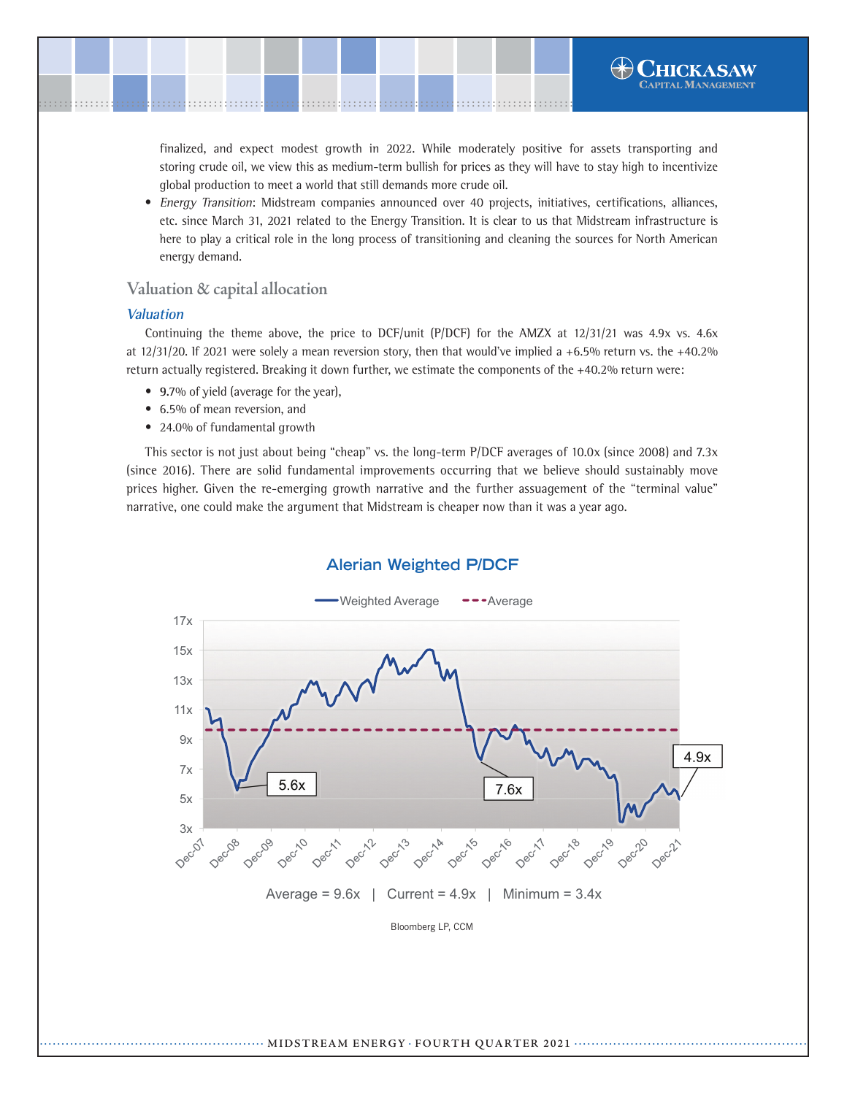**•** Energy Transition: Midstream companies announced over 40 projects, initiatives, certifications, alliances, etc. since March 31, 2021 related to the Energy Transition. It is clear to us that Midstream infrastructure is here to play a critical role in the long process of transitioning and cleaning the sources for North American energy demand.

## **Valuation & capital allocation**

.......................................................................................................[.](http://www.chickasawcap.com) ........................................................................................................

global production to meet a world that still demands more crude oil.

#### **Valuation**

Continuing the theme above, the price to DCF/unit (P/DCF) for the AMZX at 12/31/21 was 4.9x vs. 4.6x at 12/31/20. If 2021 were solely a mean reversion story, then that would've implied a +6.5% return vs. the +40.2% return actually registered. Breaking it down further, we estimate the components of the +40.2% return were:

- **9.**7% of yield (average for the year),
- 6.5% of mean reversion, and
- 24.0% of fundamental growth

This sector is not just about being "cheap" vs. the long-term P/DCF averages of 10.0x (since 2008) and 7.3x (since 2016). There are solid fundamental improvements occurring that we believe should sustainably move prices higher. Given the re-emerging growth narrative and the further assuagement of the "terminal value" narrative, one could make the argument that Midstream is cheaper now than it was a year ago.



## **Alerian Weighted P/DCF**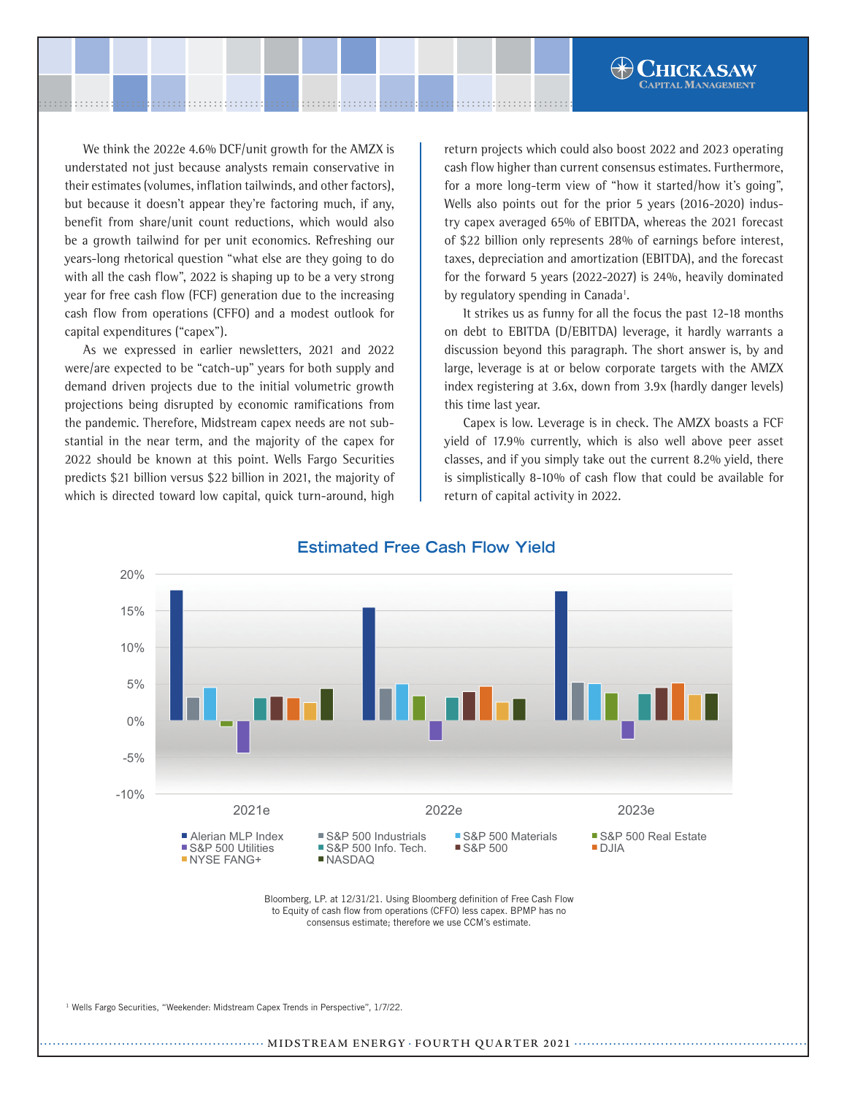We think the 2022e 4.6% DCF/unit growth for the AMZX is understated not just because analysts remain conservative in their estimates (volumes, inflation tailwinds, and other factors), but because it doesn't appear they're factoring much, if any, benefit from share/unit count reductions, which would also be a growth tailwind for per unit economics. Refreshing our years-long rhetorical question "what else are they going to do with all the cash flow", 2022 is shaping up to be a very strong year for free cash flow (FCF) generation due to the increasing cash flow from operations (CFFO) and a modest outlook for capital expenditures ("capex").

As we expressed in earlier newsletters, 2021 and 2022 were/are expected to be "catch-up" years for both supply and demand driven projects due to the initial volumetric growth projections being disrupted by economic ramifications from the pandemic. Therefore, Midstream capex needs are not substantial in the near term, and the majority of the capex for 2022 should be known at this point. Wells Fargo Securities predicts \$21 billion versus \$22 billion in 2021, the majority of which is directed toward low capital, quick turn-around, high

return projects which could also boost 2022 and 2023 operating cash flow higher than current consensus estimates. Furthermore, for a more long-term view of "how it started/how it's going", Wells also points out for the prior 5 years (2016-2020) industry capex averaged 65% of EBITDA, whereas the 2021 forecast of \$22 billion only represents 28% of earnings before interest, taxes, depreciation and amortization (EBITDA), and the forecast for the forward 5 years (2022-2027) is 24%, heavily dominated by regulatory spending in Canada<sup>1</sup>.

**HICKASAW APITAL MANAGEMENT** 

It strikes us as funny for all the focus the past 12-18 months on debt to EBITDA (D/EBITDA) leverage, it hardly warrants a discussion beyond this paragraph. The short answer is, by and large, leverage is at or below corporate targets with the AMZX index registering at 3.6x, down from 3.9x (hardly danger levels) this time last year.

Capex is low. Leverage is in check. The AMZX boasts a FCF yield of 17.9% currently, which is also well above peer asset classes, and if you simply take out the current 8.2% yield, there is simplistically 8-10% of cash flow that could be available for return of capital activity in 2022.



## **Estimated Free Cash Flow Yield**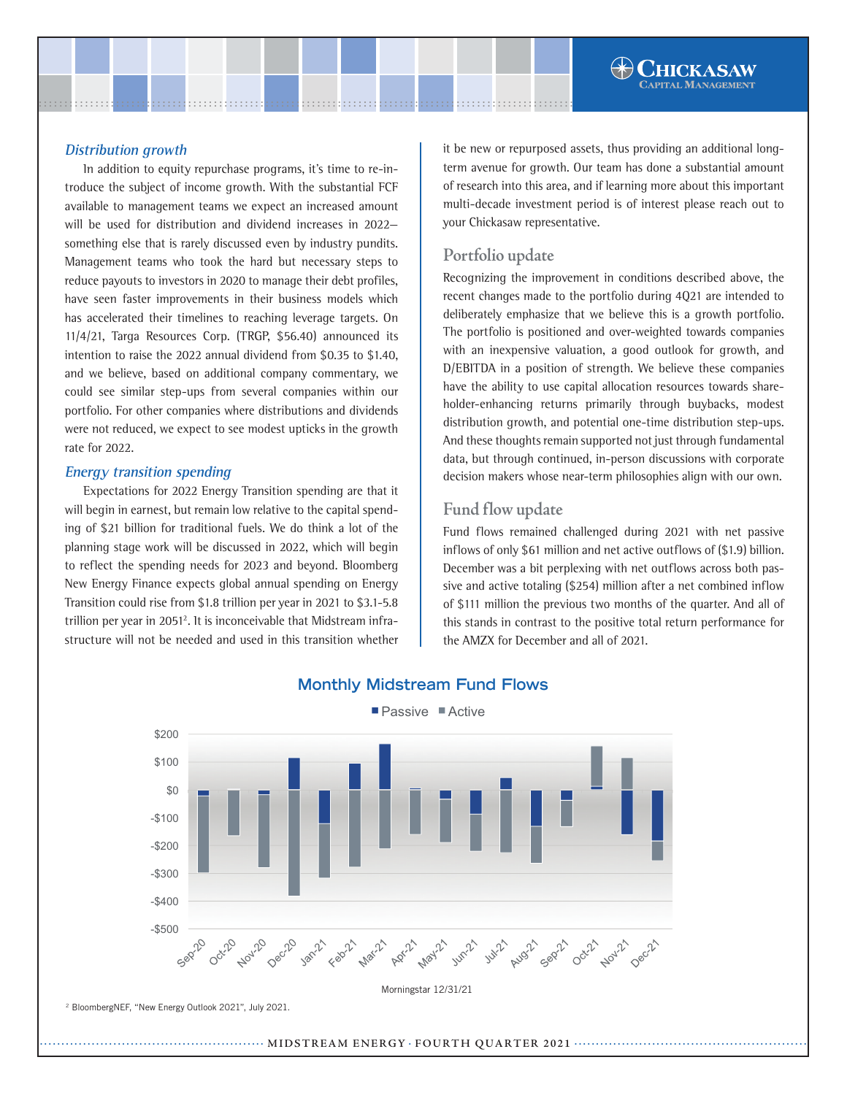In addition to equity repurchase programs, it's time to re-introduce the subject of income growth. With the substantial FCF available to management teams we expect an increased amount will be used for distribution and dividend increases in 2022 something else that is rarely discussed even by industry pundits. Management teams who took the hard but necessary steps to reduce payouts to investors in 2020 to manage their debt profiles, have seen faster improvements in their business models which has accelerated their timelines to reaching leverage targets. On 11/4/21, Targa Resources Corp. (TRGP, \$56.40) announced its intention to raise the 2022 annual dividend from \$0.35 to \$1.40, and we believe, based on additional company commentary, we could see similar step-ups from several companies within our portfolio. For other companies where distributions and dividends were not reduced, we expect to see modest upticks in the growth rate for 2022.

## **Energy transition spending**

Expectations for 2022 Energy Transition spending are that it will begin in earnest, but remain low relative to the capital spending of \$21 billion for traditional fuels. We do think a lot of the planning stage work will be discussed in 2022, which will begin to reflect the spending needs for 2023 and beyond. Bloomberg New Energy Finance expects global annual spending on Energy Transition could rise from \$1.8 trillion per year in 2021 to \$3.1-5.8 trillion per year in 2051<sup>2</sup>. It is inconceivable that Midstream infrastructure will not be needed and used in this transition whether

it be new or repurposed assets, thus providing an additional longterm avenue for growth. Our team has done a substantial amount of research into this area, and if learning more about this important multi-decade investment period is of interest please reach out to your Chickasaw representative.

## **Portfolio update**

Recognizing the improvement in conditions described above, the recent changes made to the portfolio during 4Q21 are intended to deliberately emphasize that we believe this is a growth portfolio. The portfolio is positioned and over-weighted towards companies with an inexpensive valuation, a good outlook for growth, and D/EBITDA in a position of strength. We believe these companies have the ability to use capital allocation resources towards shareholder-enhancing returns primarily through buybacks, modest distribution growth, and potential one-time distribution step-ups. And these thoughts remain supported not just through fundamental data, but through continued, in-person discussions with corporate decision makers whose near-term philosophies align with our own.

## **Fund flow update**

Fund flows remained challenged during 2021 with net passive inflows of only \$61 million and net active outflows of (\$1.9) billion. December was a bit perplexing with net outflows across both passive and active totaling (\$254) million after a net combined inflow of \$111 million the previous two months of the quarter. And all of this stands in contrast to the positive total return performance for the AMZX for December and all of 2021.



## **Monthly Midstream Fund Flows**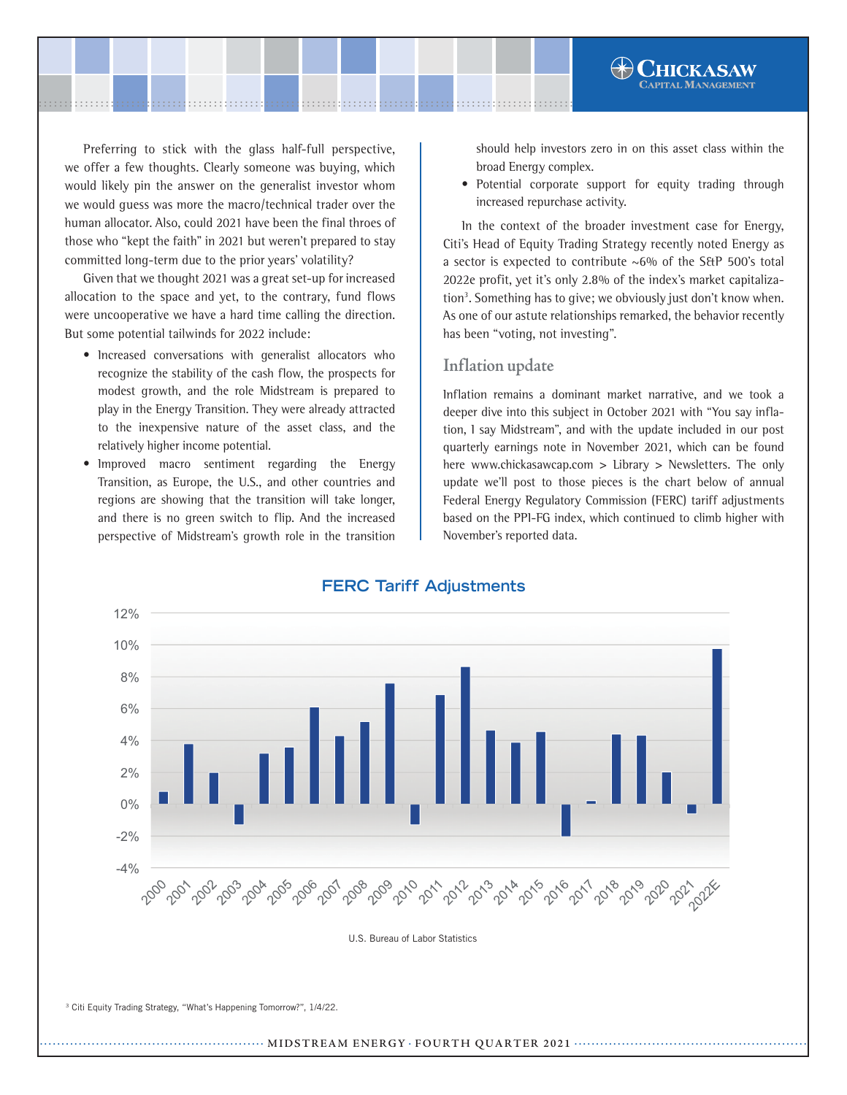Preferring to stick with the glass half-full perspective, we offer a few thoughts. Clearly someone was buying, which would likely pin the answer on the generalist investor whom we would guess was more the macro/technical trader over the human allocator. Also, could 2021 have been the final throes of those who "kept the faith" in 2021 but weren't prepared to stay committed long-term due to the prior years' volatility?

Given that we thought 2021 was a great set-up for increased allocation to the space and yet, to the contrary, fund flows were uncooperative we have a hard time calling the direction. But some potential tailwinds for 2022 include:

- Increased conversations with generalist allocators who recognize the stability of the cash flow, the prospects for modest growth, and the role Midstream is prepared to play in the Energy Transition. They were already attracted to the inexpensive nature of the asset class, and the relatively higher income potential.
- Improved macro sentiment regarding the Energy Transition, as Europe, the U.S., and other countries and regions are showing that the transition will take longer, and there is no green switch to flip. And the increased perspective of Midstream's growth role in the transition

should help investors zero in on this asset class within the broad Energy complex.

**•** Potential corporate support for equity trading through increased repurchase activity.

In the context of the broader investment case for Energy, Citi's Head of Equity Trading Strategy recently noted Energy as a sector is expected to contribute ~6% of the S&P 500's total 2022e profit, yet it's only 2.8% of the index's market capitalization<sup>3</sup>. Something has to give; we obviously just don't know when. As one of our astute relationships remarked, the behavior recently has been "voting, not investing".

## **Inflation update**

Inflation remains a dominant market narrative, and we took a deeper dive into this subject in October 2021 with "You say inflation, I say Midstream", and with the update included in our post quarterly earnings note in November 2021, which can be found here www.chickasawcap.com > Library > Newsletters. The only update we'll post to those pieces is the chart below of annual Federal Energy Regulatory Commission (FERC) tariff adjustments based on the PPI-FG index, which continued to climb higher with November's reported data.



## **FERC Tariff Adjustments**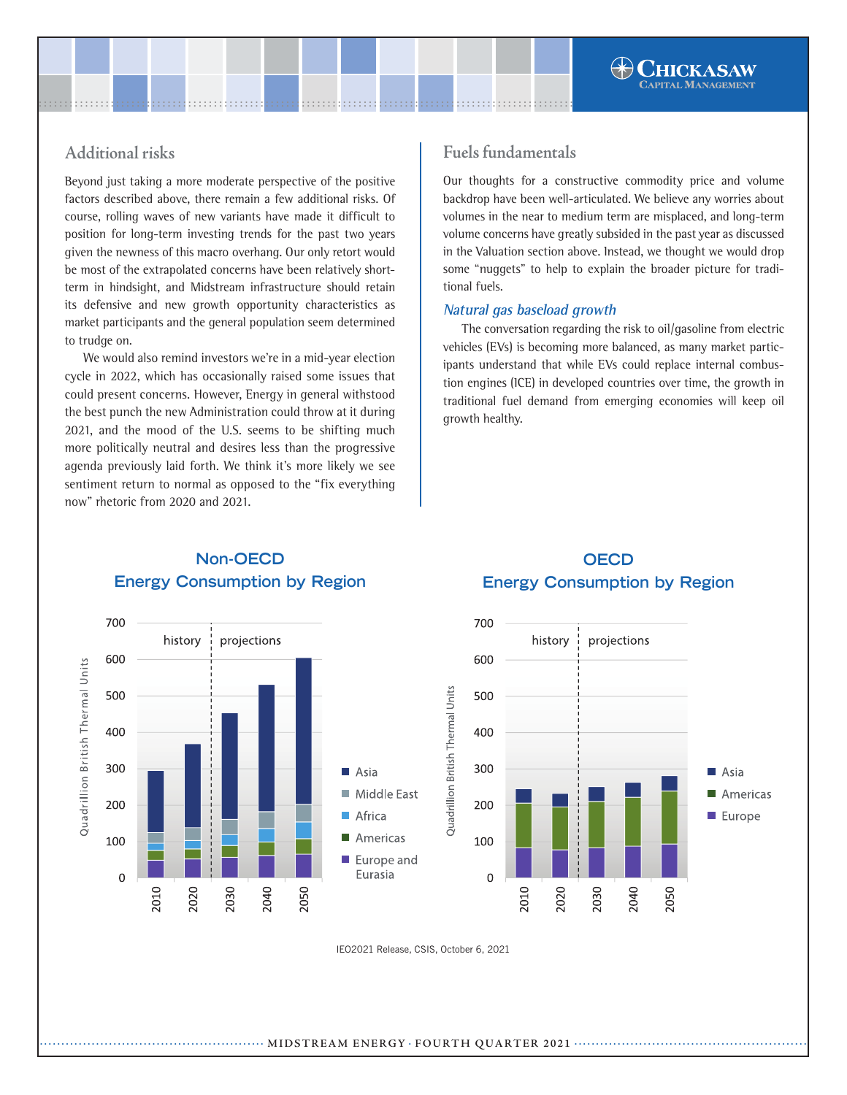# **Additional risks**

Beyond just taking a more moderate perspective of the positive factors described above, there remain a few additional risks. Of course, rolling waves of new variants have made it difficult to position for long-term investing trends for the past two years given the newness of this macro overhang. Our only retort would be most of the extrapolated concerns have been relatively shortterm in hindsight, and Midstream infrastructure should retain its defensive and new growth opportunity characteristics as market participants and the general population seem determined to trudge on.

We would also remind investors we're in a mid-year election cycle in 2022, which has occasionally raised some issues that could present concerns. However, Energy in general withstood the best punch the new Administration could throw at it during 2021, and the mood of the U.S. seems to be shifting much more politically neutral and desires less than the progressive agenda previously laid forth. We think it's more likely we see sentiment return to normal as opposed to the "fix everything now" rhetoric from 2020 and 2021.

## **Fuels fundamentals**

Our thoughts for a constructive commodity price and volume backdrop have been well-articulated. We believe any worries about volumes in the near to medium term are misplaced, and long-term volume concerns have greatly subsided in the past year as discussed in the Valuation section above. Instead, we thought we would drop some "nuggets" to help to explain the broader picture for traditional fuels.

### **Natural gas baseload growth**

The conversation regarding the risk to oil/gasoline from electric vehicles (EVs) is becoming more balanced, as many market participants understand that while EVs could replace internal combustion engines (ICE) in developed countries over time, the growth in traditional fuel demand from emerging economies will keep oil growth healthy.



## **Non-OECD Energy Consumption by Region**

# **OECD Energy Consumption by Region**



.................................................... **MIDSTREAM ENERGY** . **FOURTH QUARTER <sup>2021</sup>** ......................................................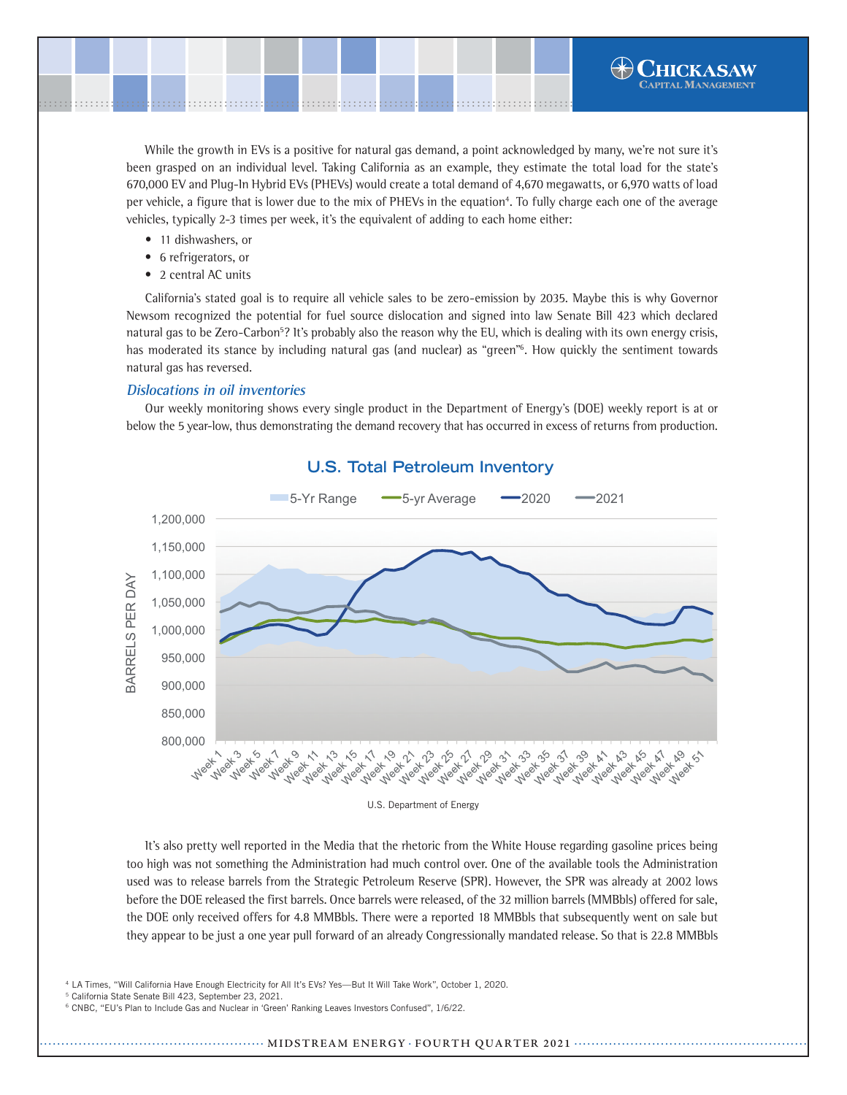

While the growth in EVs is a positive for natural gas demand, a point acknowledged by many, we're not sure it's been grasped on an individual level. Taking California as an example, they estimate the total load for the state's 670,000 EV and Plug-In Hybrid EVs (PHEVs) would create a total demand of 4,670 megawatts, or 6,970 watts of load per vehicle, a figure that is lower due to the mix of PHEVs in the equation<sup>4</sup>. To fully charge each one of the average vehicles, typically 2-3 times per week, it's the equivalent of adding to each home either:

- 11 dishwashers, or
- **•** 6 refrigerators, or
- 2 central AC units

California's stated goal is to require all vehicle sales to be zero-emission by 2035. Maybe this is why Governor Newsom recognized the potential for fuel source dislocation and signed into law Senate Bill 423 which declared natural gas to be Zero-Carbon<sup>5</sup>? It's probably also the reason why the EU, which is dealing with its own energy crisis, has moderated its stance by including natural gas (and nuclear) as "green"<sup>6</sup>. How quickly the sentiment towards natural gas has reversed.

#### **Dislocations in oil inventories**

Our weekly monitoring shows every single product in the Department of Energy's (DOE) weekly report is at or below the 5 year-low, thus demonstrating the demand recovery that has occurred in excess of returns from production.



## **U.S. Total Petroleum Inventory**

It's also pretty well reported in the Media that the rhetoric from the White House regarding gasoline prices being too high was not something the Administration had much control over. One of the available tools the Administration used was to release barrels from the Strategic Petroleum Reserve (SPR). However, the SPR was already at 2002 lows before the DOE released the first barrels. Once barrels were released, of the 32 million barrels (MMBbls) offered for sale, the DOE only received offers for 4.8 MMBbls. There were a reported 18 MMBbls that subsequently went on sale but they appear to be just a one year pull forward of an already Congressionally mandated release. So that is 22.8 MMBbls

4 LA Times, "Will California Have Enough Electricity for All It's EVs? Yes—But It Will Take Work", October 1, 2020.

5 California State Senate Bill 423, September 23, 2021.

<sup>6</sup> CNBC, "EU's Plan to Include Gas and Nuclear in 'Green' Ranking Leaves Investors Confused", 1/6/22.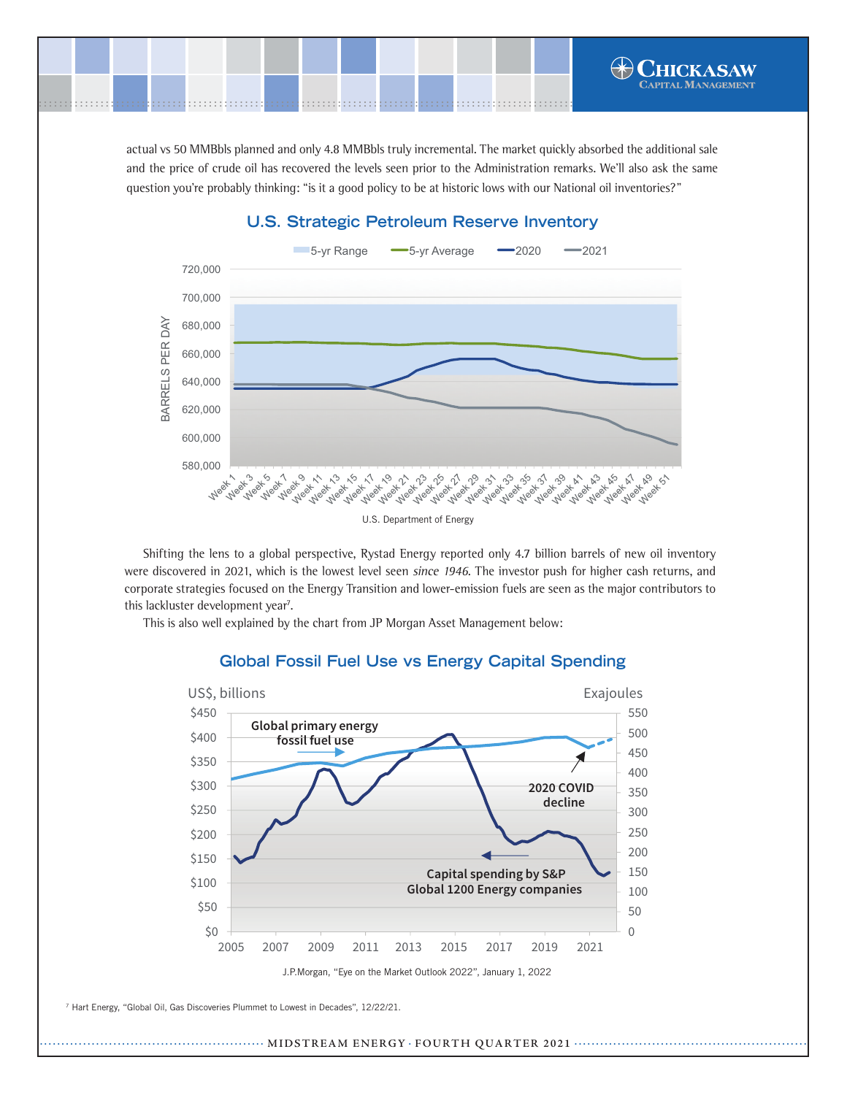actual vs 50 MMBbls planned and only 4.8 MMBbls truly incremental. The market quickly absorbed the additional sale and the price of crude oil has recovered the levels seen prior to the Administration remarks. We'll also ask the same question you're probably thinking: "is it a good policy to be at historic lows with our National oil inventories?"

.......................................................................................................[.](http://www.chickasawcap.com) ........................................................................................................

# **U.S. Strategic Petroleum Reserve Inventory**



Shifting the lens to a global perspective, Rystad Energy reported only 4.7 billion barrels of new oil inventory were discovered in 2021, which is the lowest level seen since 1946. The investor push for higher cash returns, and corporate strategies focused on the Energy Transition and lower-emission fuels are seen as the major contributors to this lackluster development year<sup>7</sup>.

This is also well explained by the chart from JP Morgan Asset Management below:



## **Global Fossil Fuel Use vs Energy Capital Spending**

7 Hart Energy, "Global Oil, Gas Discoveries Plummet to Lowest in Decades", 12/22/21.

.................................................... **MIDSTREAM ENERGY** . **FOURTH QUARTER <sup>2021</sup>** ......................................................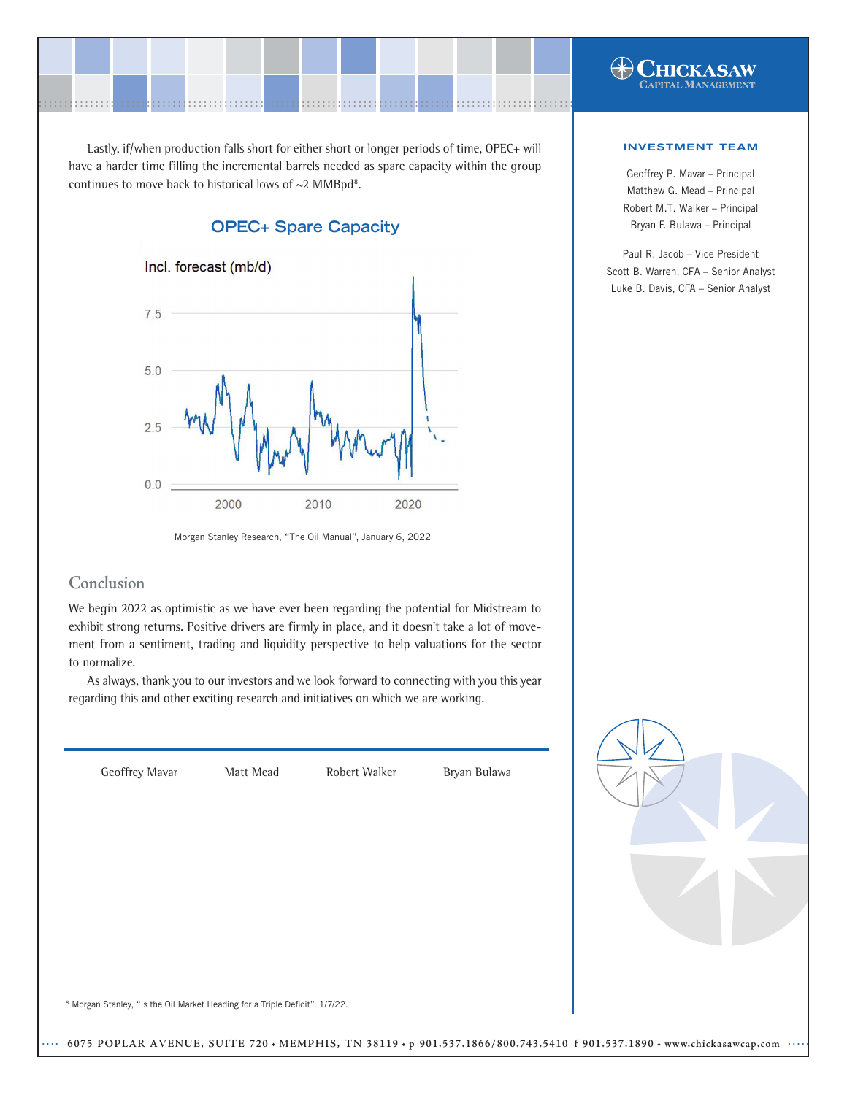

Lastly, if/when production falls short for either short or longer periods of time, OPEC+ will have a harder time filling the incremental barrels needed as spare capacity within the group continues to move back to historical lows of  $\sim$ 2 MMBpd<sup>8</sup>.



Morgan Stanley Research, "The Oil Manual", January 6, 2022

## **Conclusion**

We begin 2022 as optimistic as we have ever been regarding the potential for Midstream to exhibit strong returns. Positive drivers are firmly in place, and it doesn't take a lot of movement from a sentiment, trading and liquidity perspective to help valuations for the sector to normalize.

As always, thank you to our investors and we look forward to connecting with you this year regarding this and other exciting research and initiatives on which we are working.



#### INVESTMENT TEAM

Geoffrey P. Mavar – Principal Matthew G. Mead – Principal Robert M.T. Walker – Principal Bryan F. Bulawa – Principal

Paul R. Jacob – Vice President Scott B. Warren, CFA – Senior Analyst Luke B. Davis, CFA – Senior Analyst

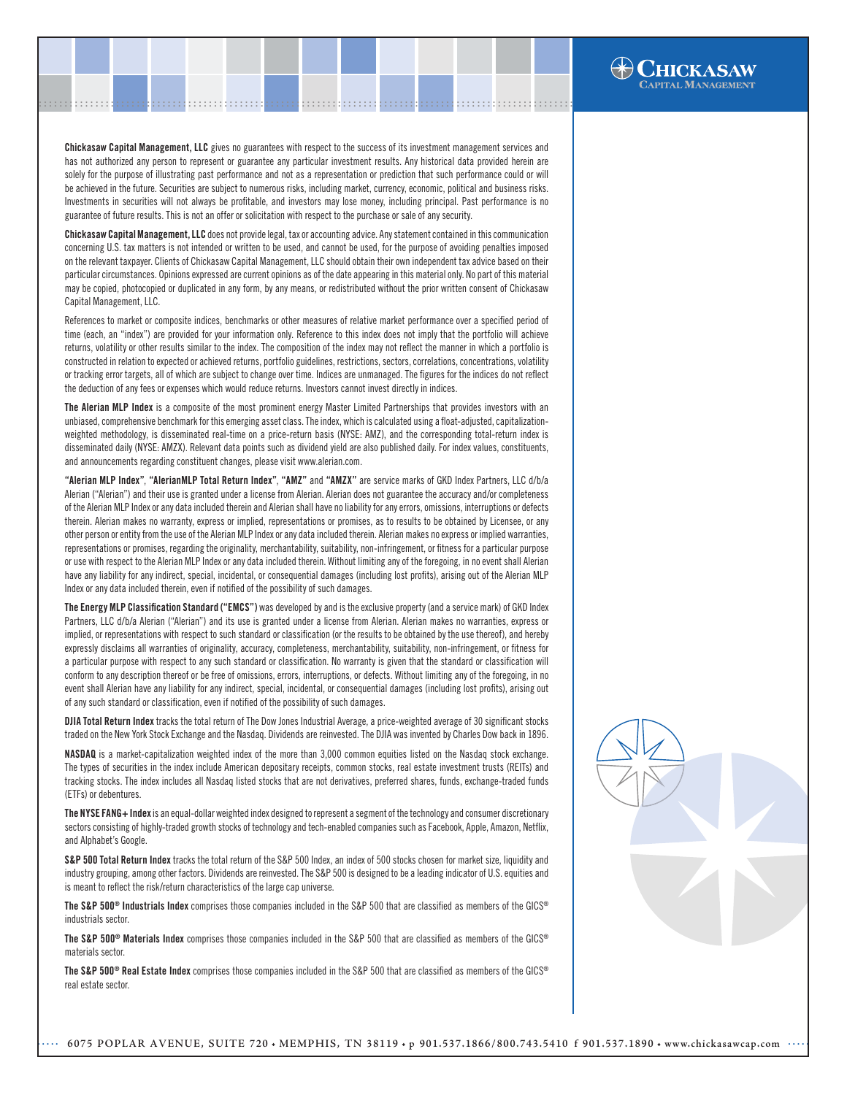Chickasaw Capital Management, LLC gives no guarantees with respect to the success of its investment management services and has not authorized any person to represent or guarantee any particular investment results. Any historical data provided herein are solely for the purpose of illustrating past performance and not as a representation or prediction that such performance could or will be achieved in the future. Securities are subject to numerous risks, including market, currency, economic, political and business risks. Investments in securities will not always be profitable, and investors may lose money, including principal. Past performance is no guarantee of future results. This is not an offer or solicitation with respect to the purchase or sale of any security.

.......................................................................................................[.](http://www.chickasawcap.com) ........................................................................................................

Chickasaw Capital Management, LLC does not provide legal, tax or accounting advice. Any statement contained in this communication concerning U.S. tax matters is not intended or written to be used, and cannot be used, for the purpose of avoiding penalties imposed on the relevant taxpayer. Clients of Chickasaw Capital Management, LLC should obtain their own independent tax advice based on their particular circumstances. Opinions expressed are current opinions as of the date appearing in this material only. No part of this material may be copied, photocopied or duplicated in any form, by any means, or redistributed without the prior written consent of Chickasaw Capital Management, LLC.

References to market or composite indices, benchmarks or other measures of relative market performance over a specified period of time (each, an "index") are provided for your information only. Reference to this index does not imply that the portfolio will achieve returns, volatility or other results similar to the index. The composition of the index may not reflect the manner in which a portfolio is constructed in relation to expected or achieved returns, portfolio guidelines, restrictions, sectors, correlations, concentrations, volatility or tracking error targets, all of which are subject to change over time. Indices are unmanaged. The figures for the indices do not reflect the deduction of any fees or expenses which would reduce returns. Investors cannot invest directly in indices.

The Alerian MLP Index is a composite of the most prominent energy Master Limited Partnerships that provides investors with an unbiased, comprehensive benchmark for this emerging asset class. The index, which is calculated using a float-adjusted, capitalizationweighted methodology, is disseminated real-time on a price-return basis (NYSE: AMZ), and the corresponding total-return index is disseminated daily (NYSE: AMZX). Relevant data points such as dividend yield are also published daily. For index values, constituents, and announcements regarding constituent changes, please visit www.alerian.com.

"Alerian MLP Index", "AlerianMLP Total Return Index", "AMZ" and "AMZX" are service marks of GKD Index Partners, LLC d/b/a Alerian ("Alerian") and their use is granted under a license from Alerian. Alerian does not guarantee the accuracy and/or completeness of the Alerian MLP Index or any data included therein and Alerian shall have no liability for any errors, omissions, interruptions or defects therein. Alerian makes no warranty, express or implied, representations or promises, as to results to be obtained by Licensee, or any other person or entity from the use of the Alerian MLP Index or any data included therein. Alerian makes no express or implied warranties, representations or promises, regarding the originality, merchantability, suitability, non-infringement, or fitness for a particular purpose or use with respect to the Alerian MLP Index or any data included therein. Without limiting any of the foregoing, in no event shall Alerian have any liability for any indirect, special, incidental, or consequential damages (including lost profits), arising out of the Alerian MLP Index or any data included therein, even if notified of the possibility of such damages.

The Energy MLP Classification Standard ("EMCS") was developed by and is the exclusive property (and a service mark) of GKD Index Partners, LLC d/b/a Alerian ("Alerian") and its use is granted under a license from Alerian. Alerian makes no warranties, express or implied, or representations with respect to such standard or classification (or the results to be obtained by the use thereof), and hereby expressly disclaims all warranties of originality, accuracy, completeness, merchantability, suitability, non-infringement, or fitness for a particular purpose with respect to any such standard or classification. No warranty is given that the standard or classification will conform to any description thereof or be free of omissions, errors, interruptions, or defects. Without limiting any of the foregoing, in no event shall Alerian have any liability for any indirect, special, incidental, or consequential damages (including lost profits), arising out of any such standard or classification, even if notified of the possibility of such damages.

DJIA Total Return Index tracks the total return of The Dow Jones Industrial Average, a price-weighted average of 30 significant stocks traded on the New York Stock Exchange and the Nasdaq. Dividends are reinvested. The DJIA was invented by Charles Dow back in 1896.

NASDAQ is a market-capitalization weighted index of the more than 3,000 common equities listed on the Nasdaq stock exchange. The types of securities in the index include American depositary receipts, common stocks, real estate investment trusts (REITs) and tracking stocks. The index includes all Nasdaq listed stocks that are not derivatives, preferred shares, funds, exchange-traded funds (ETFs) or debentures.

The NYSE FANG+ Index is an equal-dollar weighted index designed to represent a segment of the technology and consumer discretionary sectors consisting of highly-traded growth stocks of technology and tech-enabled companies such as Facebook, Apple, Amazon, Netflix, and Alphabet's Google.

S&P 500 Total Return Index tracks the total return of the S&P 500 Index, an index of 500 stocks chosen for market size, liquidity and industry grouping, among other factors. Dividends are reinvested. The S&P 500 is designed to be a leading indicator of U.S. equities and is meant to reflect the risk/return characteristics of the large cap universe.

The S&P 500<sup>®</sup> Industrials Index comprises those companies included in the S&P 500 that are classified as members of the GICS<sup>®</sup> industrials sector.

The S&P 500® Materials Index comprises those companies included in the S&P 500 that are classified as members of the GICS® materials sector.

The S&P 500<sup>®</sup> Real Estate Index comprises those companies included in the S&P 500 that are classified as members of the GICS<sup>®</sup> real estate sector.



**HICKASAW**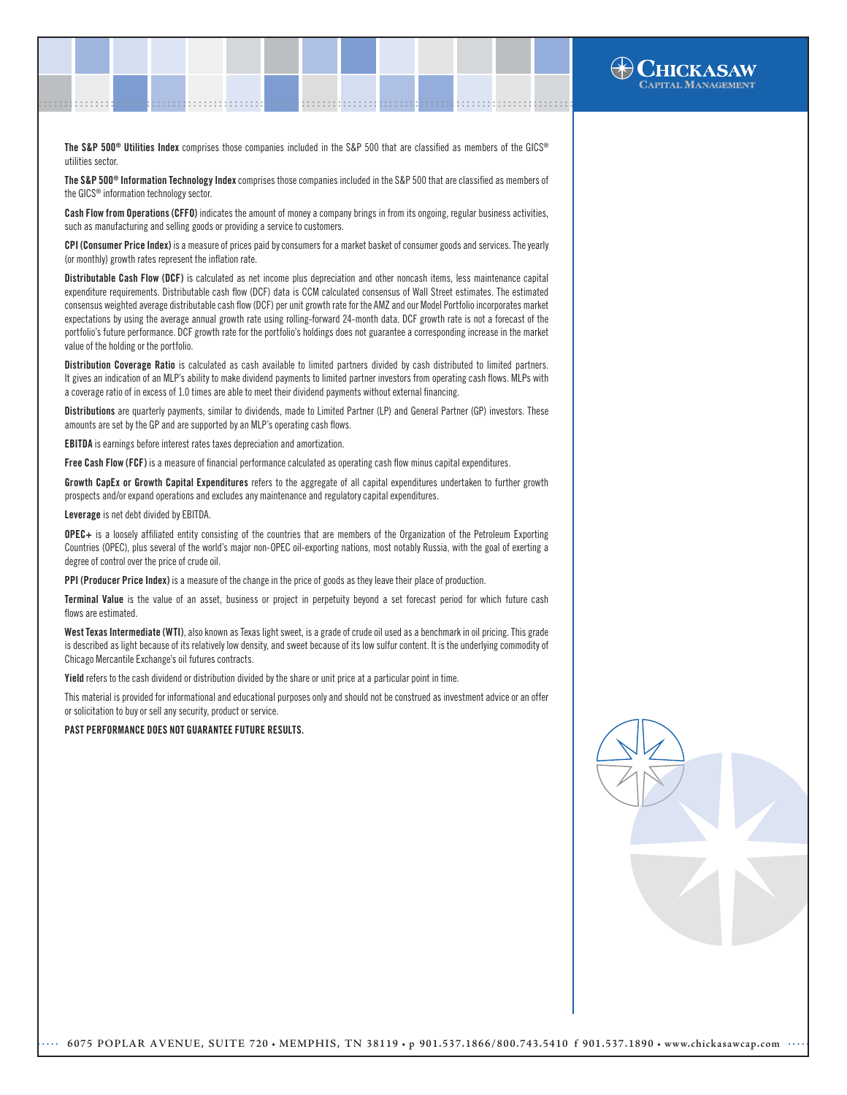The S&P 500<sup>®</sup> Utilities Index comprises those companies included in the S&P 500 that are classified as members of the GICS<sup>®</sup> utilities sector.

.......................................................................................................[.](http://www.chickasawcap.com) ........................................................................................................

The S&P 500<sup>®</sup> Information Technology Index comprises those companies included in the S&P 500 that are classified as members of the GICS® information technology sector.

Cash Flow from Operations (CFFO) indicates the amount of money a company brings in from its ongoing, regular business activities, such as manufacturing and selling goods or providing a service to customers.

CPI (Consumer Price Index) is a measure of prices paid by consumers for a market basket of consumer goods and services. The yearly (or monthly) growth rates represent the inflation rate.

Distributable Cash Flow (DCF) is calculated as net income plus depreciation and other noncash items, less maintenance capital expenditure requirements. Distributable cash flow (DCF) data is CCM calculated consensus of Wall Street estimates. The estimated consensus weighted average distributable cash flow (DCF) per unit growth rate for the AMZ and our Model Portfolio incorporates market expectations by using the average annual growth rate using rolling-forward 24-month data. DCF growth rate is not a forecast of the portfolio's future performance. DCF growth rate for the portfolio's holdings does not guarantee a corresponding increase in the market value of the holding or the portfolio.

Distribution Coverage Ratio is calculated as cash available to limited partners divided by cash distributed to limited partners. It gives an indication of an MLP's ability to make dividend payments to limited partner investors from operating cash flows. MLPs with a coverage ratio of in excess of 1.0 times are able to meet their dividend payments without external financing.

Distributions are quarterly payments, similar to dividends, made to Limited Partner (LP) and General Partner (GP) investors. These amounts are set by the GP and are supported by an MLP's operating cash flows.

EBITDA is earnings before interest rates taxes depreciation and amortization.

Free Cash Flow (FCF) is a measure of financial performance calculated as operating cash flow minus capital expenditures.

Growth CapEx or Growth Capital Expenditures refers to the aggregate of all capital expenditures undertaken to further growth prospects and/or expand operations and excludes any maintenance and regulatory capital expenditures.

Leverage is net debt divided by EBITDA.

OPEC+ is a loosely affiliated entity consisting of the countries that are members of the Organization of the Petroleum Exporting Countries (OPEC), plus several of the world's major non-OPEC oil-exporting nations, most notably Russia, with the goal of exerting a degree of control over the price of crude oil.

PPI (Producer Price Index) is a measure of the change in the price of goods as they leave their place of production.

Terminal Value is the value of an asset, business or project in perpetuity beyond a set forecast period for which future cash flows are estimated.

West Texas Intermediate (WTI), also known as Texas light sweet, is a grade of crude oil used as a benchmark in oil pricing. This grade is described as light because of its relatively low density, and sweet because of its low sulfur content. It is the underlying commodity of Chicago Mercantile Exchange's oil futures contracts.

Yield refers to the cash dividend or distribution divided by the share or unit price at a particular point in time.

This material is provided for informational and educational purposes only and should not be construed as investment advice or an offer or solicitation to buy or sell any security, product or service.

#### PAST PERFORMANCE DOES NOT GUARANTEE FUTURE RESULTS.